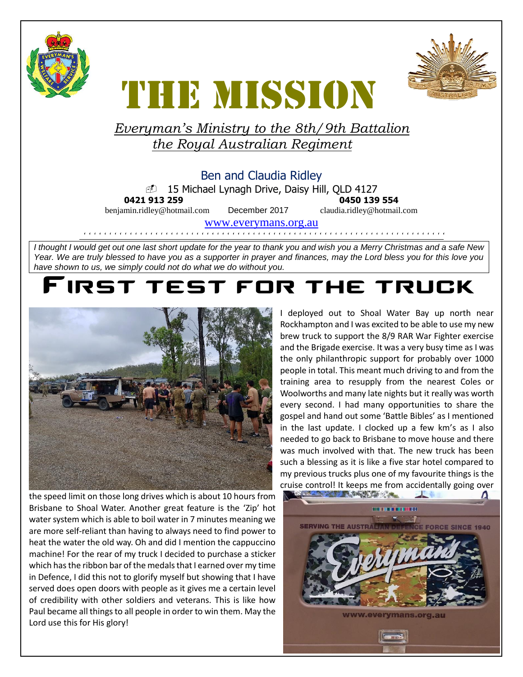



# **THE MISSION** *Everyman's Ministry to the 8th/9th Battalion*

## *the Royal Australian Regiment*

#### Ben and Claudia Ridley

15 Michael Lynagh Drive, Daisy Hill, QLD 4127

**0421 913 259 0450 139 554**

benjamin.ridley@hotmail.com December 2017 claudia.ridley@hotmail.com

[www.everymans.org.au](http://www.everymans.org.a/)

```````````````````````````````````````````````````````````````````````

*I thought I would get out one last short update for the year to thank you and wish you a Merry Christmas and a safe New Year. We are truly blessed to have you as a supporter in prayer and finances, may the Lord bless you for this love you have shown to us, we simply could not do what we do without you.* 

### IRST TEST FOR THE TRUCK



the speed limit on those long drives which is about 10 hours from Brisbane to Shoal Water. Another great feature is the 'Zip' hot water system which is able to boil water in 7 minutes meaning we are more self-reliant than having to always need to find power to heat the water the old way. Oh and did I mention the cappuccino machine! For the rear of my truck I decided to purchase a sticker which has the ribbon bar of the medals that I earned over my time in Defence, I did this not to glorify myself but showing that I have served does open doors with people as it gives me a certain level of credibility with other soldiers and veterans. This is like how Paul became all things to all people in order to win them. May the Lord use this for His glory!

I deployed out to Shoal Water Bay up north near Rockhampton and I was excited to be able to use my new brew truck to support the 8/9 RAR War Fighter exercise and the Brigade exercise. It was a very busy time as I was the only philanthropic support for probably over 1000 people in total. This meant much driving to and from the training area to resupply from the nearest Coles or Woolworths and many late nights but it really was worth every second. I had many opportunities to share the gospel and hand out some 'Battle Bibles' as I mentioned in the last update. I clocked up a few km's as I also needed to go back to Brisbane to move house and there was much involved with that. The new truck has been such a blessing as it is like a five star hotel compared to my previous trucks plus one of my favourite things is the cruise control! It keeps me from accidentally going over